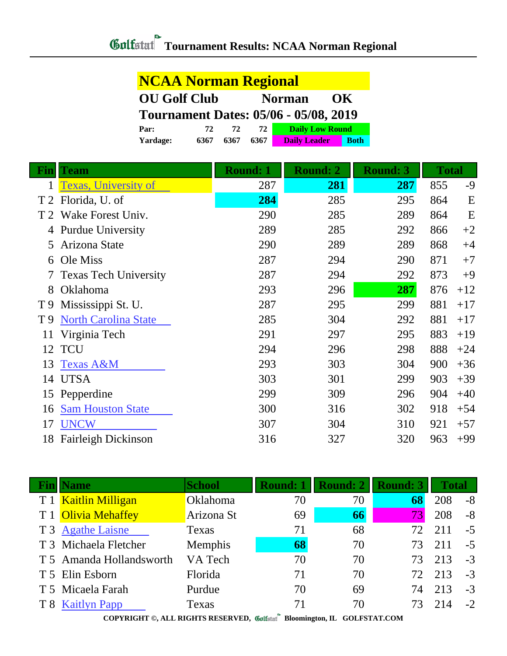| <b>NCAA Norman Regional</b>                      |      |      |      |                        |             |  |  |
|--------------------------------------------------|------|------|------|------------------------|-------------|--|--|
| <b>OU Golf Club</b><br><b>Norman</b><br>$\alpha$ |      |      |      |                        |             |  |  |
| <b>Tournament Dates: 05/06 - 05/08, 2019</b>     |      |      |      |                        |             |  |  |
| Par:                                             | 72   | 72   | 72   | <b>Daily Low Round</b> |             |  |  |
| Yardage:                                         | 6367 | 6367 | 6367 | <b>Daily Leader</b>    | <b>Both</b> |  |  |

| Fin | <b>Team</b>                  | <b>Round: 1</b> | <b>Round: 2</b> | <b>Round: 3</b> | <b>Total</b> |       |
|-----|------------------------------|-----------------|-----------------|-----------------|--------------|-------|
|     | Texas, University of         | 287             | 281             | 287             | 855          | $-9$  |
| T2  | Florida, U. of               | 284             | 285             | 295             | 864          | E     |
|     | Wake Forest Univ.            | 290             | 285             | 289             | 864          | E     |
| 4   | <b>Purdue University</b>     | 289             | 285             | 292             | 866          | $+2$  |
| 5   | Arizona State                | 290             | 289             | 289             | 868          | $+4$  |
| 6   | Ole Miss                     | 287             | 294             | 290             | 871          | $+7$  |
| 7   | <b>Texas Tech University</b> | 287             | 294             | 292             | 873          | $+9$  |
| 8   | Oklahoma                     | 293             | 296             | 287             | 876          | $+12$ |
| T9  | Mississippi St. U.           | 287             | 295             | 299             | 881          | $+17$ |
| T 9 | <b>North Carolina State</b>  | 285             | 304             | 292             | 881          | $+17$ |
| 11  | Virginia Tech                | 291             | 297             | 295             | 883          | $+19$ |
| 12  | <b>TCU</b>                   | 294             | 296             | 298             | 888          | $+24$ |
| 13  | <b>Texas A&amp;M</b>         | 293             | 303             | 304             | 900          | $+36$ |
| 14  | <b>UTSA</b>                  | 303             | 301             | 299             | 903          | $+39$ |
| 15  | Pepperdine                   | 299             | 309             | 296             | 904          | $+40$ |
| 16  | <b>Sam Houston State</b>     | 300             | 316             | 302             | 918          | $+54$ |
| 17  | <b>UNCW</b>                  | 307             | 304             | 310             | 921          | $+57$ |
| 18  | <b>Fairleigh Dickinson</b>   | 316             | 327             | 320             | 963          | $+99$ |

| <b>Name</b>              | <b>School</b> | <b>Round: 1</b> | <b>Round: 2</b> | <b>Round: 3</b> | <b>Total</b> |      |
|--------------------------|---------------|-----------------|-----------------|-----------------|--------------|------|
| T 1 Kaitlin Milligan     | Oklahoma      | 70              | 70              | 68              | 208          | $-8$ |
| T 1 Olivia Mehaffey      | Arizona St    | 69              | 66              |                 | 208          | $-8$ |
| T 3 Agathe Laisne        | Texas         | 71              | 68              |                 | 211          | $-5$ |
| T 3 Michaela Fletcher    | Memphis       | 68              | 70              |                 | 211          | $-5$ |
| T 5 Amanda Hollandsworth | VA Tech       | 70              | 70              |                 | 213          | $-3$ |
| T 5 Elin Esborn          | Florida       | 71              | 70              | 72.             | 213          | $-3$ |
| T 5 Micaela Farah        | Purdue        | 70              | 69              | 74              | 213          | $-3$ |
| T 8 Kaitlyn Papp         | Texas         | 71              | 70              |                 | 214          | $-2$ |
|                          |               | $\sim$          |                 |                 |              |      |

**COPYRIGHT ©, ALL RIGHTS RESERVED, Bloomington, IL GOLFSTAT.COM**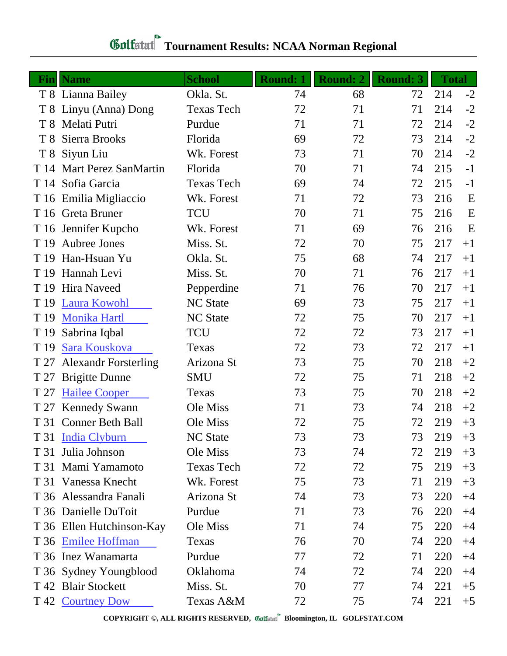## **Gulfatat** Tournament Results: NCAA Norman Regional

|                | <b>Fin</b> Name             | <b>School</b>     | <b>Round: 1</b> | <b>Round: 2</b> | <b>Round: 3</b> | <b>Total</b> |      |
|----------------|-----------------------------|-------------------|-----------------|-----------------|-----------------|--------------|------|
|                | T 8 Lianna Bailey           | Okla. St.         | 74              | 68              | 72              | 214          | $-2$ |
|                | T 8 Linyu (Anna) Dong       | <b>Texas Tech</b> | 72              | 71              | 71              | 214          | $-2$ |
| T <sup>8</sup> | Melati Putri                | Purdue            | 71              | 71              | 72              | 214          | $-2$ |
| T <sup>8</sup> | Sierra Brooks               | Florida           | 69              | 72              | 73              | 214          | $-2$ |
| T <sub>8</sub> | Siyun Liu                   | Wk. Forest        | 73              | 71              | 70              | 214          | $-2$ |
| T 14           | Mart Perez SanMartin        | Florida           | 70              | 71              | 74              | 215          | $-1$ |
|                | T 14 Sofia Garcia           | <b>Texas Tech</b> | 69              | 74              | 72              | 215          | $-1$ |
|                | T 16 Emilia Migliaccio      | Wk. Forest        | 71              | 72              | 73              | 216          | E    |
|                | T 16 Greta Bruner           | <b>TCU</b>        | 70              | 71              | 75              | 216          | E    |
|                | T 16 Jennifer Kupcho        | Wk. Forest        | 71              | 69              | 76              | 216          | E    |
| T 19           | Aubree Jones                | Miss. St.         | 72              | 70              | 75              | 217          | $+1$ |
| T 19           | Han-Hsuan Yu                | Okla. St.         | 75              | 68              | 74              | 217          | $+1$ |
| T 19           | Hannah Levi                 | Miss. St.         | 70              | 71              | 76              | 217          | $+1$ |
| T 19           | <b>Hira Naveed</b>          | Pepperdine        | 71              | 76              | 70              | 217          | $+1$ |
| T 19           | <b>Laura Kowohl</b>         | <b>NC State</b>   | 69              | 73              | 75              | 217          | $+1$ |
| T 19           | <b>Monika Hartl</b>         | <b>NC</b> State   | 72              | 75              | 70              | 217          | $+1$ |
| T 19           | Sabrina Iqbal               | <b>TCU</b>        | 72              | 72              | 73              | 217          | $+1$ |
| T 19           | Sara Kouskova               | Texas             | 72              | 73              | 72              | 217          | $+1$ |
| T 27           | <b>Alexandr Forsterling</b> | Arizona St        | 73              | 75              | 70              | 218          | $+2$ |
| T 27           | <b>Brigitte Dunne</b>       | <b>SMU</b>        | 72              | 75              | 71              | 218          | $+2$ |
| T 27           | <b>Hailee Cooper</b>        | Texas             | 73              | 75              | 70              | 218          | $+2$ |
| T 27           | <b>Kennedy Swann</b>        | Ole Miss          | 71              | 73              | 74              | 218          | $+2$ |
|                | T 31 Conner Beth Ball       | Ole Miss          | 72              | 75              | 72              | 219          | $+3$ |
|                | T 31 India Clyburn          | <b>NC State</b>   | 73              | 73              | 73              | 219          | $+3$ |
| T 31           | Julia Johnson               | Ole Miss          | 73              | 74              | 72              | 219          | $+3$ |
|                | T 31 Mami Yamamoto          | <b>Texas Tech</b> | 72              | 72              | 75              | 219          | $+3$ |
|                | T 31 Vanessa Knecht         | Wk. Forest        | 75              | 73              | 71              | 219          | $+3$ |
|                | T 36 Alessandra Fanali      | Arizona St        | 74              | 73              | 73              | 220          | $+4$ |
|                | T 36 Danielle DuToit        | Purdue            | 71              | 73              | 76              | 220          | $+4$ |
|                | T 36 Ellen Hutchinson-Kay   | Ole Miss          | 71              | 74              | 75              | 220          | $+4$ |
|                | T 36 Emilee Hoffman         | Texas             | 76              | 70              | 74              | 220          | $+4$ |
|                | T 36 Inez Wanamarta         | Purdue            | 77              | 72              | 71              | 220          | $+4$ |
|                | T 36 Sydney Youngblood      | Oklahoma          | 74              | 72              | 74              | 220          | $+4$ |
|                | T 42 Blair Stockett         | Miss. St.         | 70              | 77              | 74              | 221          | $+5$ |
|                | T 42 Courtney Dow           | Texas A&M         | 72              | 75              | 74              | 221          | $+5$ |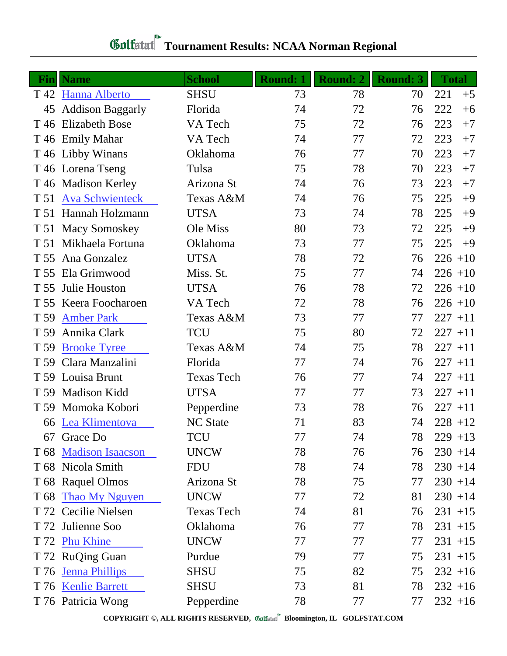## **Gulfatat** Tournament Results: NCAA Norman Regional

|                 | <b>Fin</b> Name         | <b>School</b>     | <b>Round: 1</b> | <b>Round: 2</b> | <b>Round: 3</b> | <b>Total</b> |
|-----------------|-------------------------|-------------------|-----------------|-----------------|-----------------|--------------|
|                 | T 42 Hanna Alberto      | <b>SHSU</b>       | 73              | 78              | 70              | 221<br>$+5$  |
| 45              | <b>Addison Baggarly</b> | Florida           | 74              | 72              | 76              | 222<br>$+6$  |
|                 | T 46 Elizabeth Bose     | VA Tech           | 75              | 72              | 76              | 223<br>$+7$  |
|                 | T 46 Emily Mahar        | VA Tech           | 74              | 77              | 72              | 223<br>$+7$  |
|                 | T 46 Libby Winans       | Oklahoma          | 76              | 77              | 70              | 223<br>$+7$  |
|                 | T 46 Lorena Tseng       | Tulsa             | 75              | 78              | 70              | 223<br>$+7$  |
|                 | T 46 Madison Kerley     | Arizona St        | 74              | 76              | 73              | 223<br>$+7$  |
| T 51            | <b>Ava Schwienteck</b>  | Texas A&M         | 74              | 76              | 75              | 225<br>$+9$  |
|                 | T 51 Hannah Holzmann    | <b>UTSA</b>       | 73              | 74              | 78              | 225<br>$+9$  |
|                 | T 51 Macy Somoskey      | Ole Miss          | 80              | 73              | 72              | 225<br>$+9$  |
|                 | T 51 Mikhaela Fortuna   | Oklahoma          | 73              | 77              | 75              | 225<br>$+9$  |
| T 55            | Ana Gonzalez            | <b>UTSA</b>       | 78              | 72              | 76              | $226 + 10$   |
| T 55            | Ela Grimwood            | Miss. St.         | 75              | 77              | 74              | $226 + 10$   |
| T 55            | Julie Houston           | <b>UTSA</b>       | 76              | 78              | 72              | $226 + 10$   |
| T 55            | Keera Foocharoen        | VA Tech           | 72              | 78              | 76              | $226 + 10$   |
| T 59            | <b>Amber Park</b>       | Texas A&M         | 73              | 77              | 77              | $227 + 11$   |
| T 59            | Annika Clark            | <b>TCU</b>        | 75              | 80              | 72              | $227 + 11$   |
| T 59            | <b>Brooke Tyree</b>     | Texas A&M         | 74              | 75              | 78              | $227 + 11$   |
| T 59            | Clara Manzalini         | Florida           | 77              | 74              | 76              | $227 + 11$   |
| T 59            | Louisa Brunt            | <b>Texas Tech</b> | 76              | 77              | 74              | $227 + 11$   |
| T 59            | Madison Kidd            | <b>UTSA</b>       | 77              | 77              | 73              | $227 + 11$   |
| T <sub>59</sub> | Momoka Kobori           | Pepperdine        | 73              | 78              | 76              | $227 + 11$   |
| 66              | Lea Klimentova          | <b>NC State</b>   | 71              | 83              | 74              | $228 + 12$   |
|                 | 67 Grace Do             | TCU               | 77              | 74              | 78              | $229 + 13$   |
|                 | T 68 Madison Isaacson   | <b>UNCW</b>       | 78              | 76              | 76              | $230 + 14$   |
|                 | T 68 Nicola Smith       | <b>FDU</b>        | 78              | 74              | 78              | $230 + 14$   |
|                 | T 68 Raquel Olmos       | Arizona St        | 78              | 75              | 77              | $230 + 14$   |
|                 | T 68 Thao My Nguyen     | <b>UNCW</b>       | 77              | 72              | 81              | $230 + 14$   |
|                 | T 72 Cecilie Nielsen    | <b>Texas Tech</b> | 74              | 81              | 76              | $231 + 15$   |
|                 | T 72 Julienne Soo       | Oklahoma          | 76              | 77              | 78              | $231 + 15$   |
|                 | T 72 Phu Khine          | <b>UNCW</b>       | 77              | 77              | 77              | $231 + 15$   |
|                 | T 72 RuQing Guan        | Purdue            | 79              | 77              | 75              | $231 + 15$   |
|                 | T 76 Jenna Phillips     | <b>SHSU</b>       | 75              | 82              | 75              | $232 + 16$   |
|                 | T 76 Kenlie Barrett     | <b>SHSU</b>       | 73              | 81              | 78              | $232 + 16$   |
|                 | T 76 Patricia Wong      | Pepperdine        | 78              | 77              | 77              | $232 + 16$   |